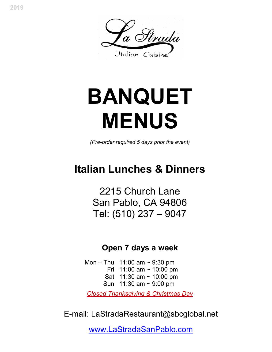

# **BANQUET MENUS**

*(Pre-order required 5 days prior the event)* 

# **Italian Lunches & Dinners**

2215 Church Lane San Pablo, CA 94806 Tel: (510) 237 – 9047

# **Open 7 days a week**

Mon – Thu 11:00 am  $\sim$  9:30 pm Fri  $11:00$  am  $\sim 10:00$  pm Sat 11:30 am ~ 10:00 pm Sun 11:30 am ~ 9:00 pm

*Closed Thanksgiving & Christmas Day*

E-mail: LaStradaRestaurant@sbcglobal.net

www.LaStradaSanPablo.com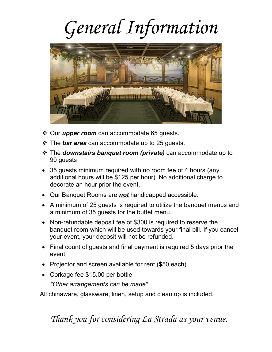# *General Information*



- Our *upper room* can accommodate 65 guests.
- The *bar area* can accommodate up to 25 guests.
- The *downstairs banquet room (private)* can accommodate up to 90 guests
- 35 guests minimum required with no room fee of 4 hours (any additional hours will be \$125 per hour). No additional charge to decorate an hour prior the event.
- Our Banquet Rooms are *not* handicapped accessible.
- A minimum of 25 guests is required to utilize the banquet menus and a minimum of 35 guests for the buffet menu.
- Non-refundable deposit fee of \$300 is required to reserve the banquet room which will be used towards your final bill. If you cancel your event, your deposit will not be refunded.
- Final count of quests and final payment is required 5 days prior the event.
- Projector and screen available for rent (\$50 each)
- Corkage fee \$15.00 per bottle

*\*Other arrangements can be made\** 

All chinaware, glassware, linen, setup and clean up is included.

# *Thank you for considering La Strada as your venue.*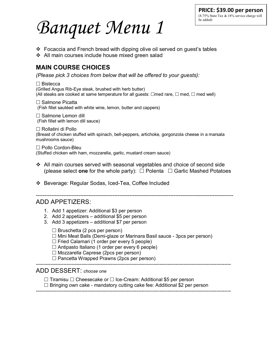# *Banquet Menu 1*

- $\div$  Focaccia and French bread with dipping olive oil served on quest's tables
- ❖ All main courses include house mixed green salad

# **MAIN COURSE CHOICES**

*(Please pick 3 choices from below that will be offered to your guests):* 

 Bistecca (Grilled Angus Rib-Eye steak, brushed with herb butter) (All steaks are cooked at same temperature for all guests:  $\Box$ med rare,  $\Box$  med,  $\Box$  med well)

□ Salmone Picatta (Fish fillet sautéed with white wine, lemon, butter and cappers)

 $\square$  Salmone Lemon dill (Fish fillet with lemon dill sauce)

 Rollatini di Pollo (Breast of chicken stuffed with spinach, bell-peppers, artichoke, gorgonzola cheese in a marsala mushrooms sauce)

 Pollo Cordon-Bleu (Stuffed chicken with ham, mozzarella, garlic, mustard cream sauce)

- All main courses served with seasonal vegetables and choice of second side (please select **one** for the whole party):  $\Box$  Polenta  $\Box$  Garlic Mashed Potatoes
- Beverage: Regular Sodas, Iced-Tea, Coffee Included

--------------------------------------------------------------------------------------------------------------------

### ADD APPETIZERS:

- 1. Add 1 appetizer: Additional \$3 per person
- 2. Add 2 appetizers additional \$5 per person
- 3. Add 3 appetizers additional \$7 per person

 $\Box$  Bruschetta (2 pcs per person)

 $\Box$  Mini Meat Balls (Demi-glaze or Marinara Basil sauce - 3pcs per person)

 $\Box$  Fried Calamari (1 order per every 5 people)

- $\Box$  Antipasto Italiano (1 order per every 6 people)
- $\Box$  Mozzarella Caprese (2pcs per person)
- $\Box$  Pancetta Wrapped Prawns (2pcs per person)

------------------------------------------------------------------------------------------------------------------------

### ADD DESSERT: *choose one*

 $\Box$  Tiramisu  $\Box$  Cheesecake or  $\Box$  Ice-Cream: Additional \$5 per person

 $\Box$  Bringing own cake - mandatory cutting cake fee: Additional \$2 per person ------------------------------------------------------------------------------------------------------------------------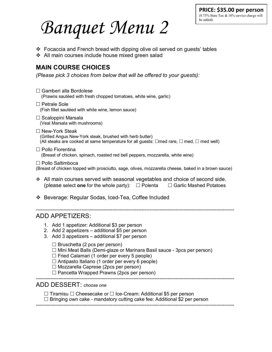*Banquet Menu 2* 

- Focaccia and French bread with dipping olive oil served on guests' tables
- All main courses include house mixed green salad

## **MAIN COURSE CHOICES**

*(Please pick 3 choices from below that will be offered to your guests):* 

| $\Box$ Gamberi alla Bordolese<br>(Prawns sautéed with fresh chopped tomatoes, white wine, garlic)                                                                                                                                                                                                                                   |
|-------------------------------------------------------------------------------------------------------------------------------------------------------------------------------------------------------------------------------------------------------------------------------------------------------------------------------------|
| $\Box$ Petrale Sole<br>(Fish fillet sautéed with white wine, lemon sauce)                                                                                                                                                                                                                                                           |
| $\Box$ Scaloppini Marsala<br>(Veal Marsala with mushrooms)                                                                                                                                                                                                                                                                          |
| $\Box$ New-York Steak<br>(Grilled Angus New-York steak, brushed with herb butter)<br>(All steaks are cooked at same temperature for all guests: $\Box$ med rare, $\Box$ med, $\Box$ med well)                                                                                                                                       |
| $\Box$ Pollo Fiorentina<br>(Breast of chicken, spinach, roasted red bell peppers, mozzarella, white wine)                                                                                                                                                                                                                           |
| □ Pollo Saltimboca<br>(Breast of chicken topped with prosciutto, sage, olives, mozzarella cheese, baked in a brown sauce)                                                                                                                                                                                                           |
| $\div$ All main courses served with seasonal vegetables and choice of second side.<br>(please select one for the whole party): $\Box$ Polenta $\Box$ Garlic Mashed Potatoes                                                                                                                                                         |
| ❖ Beverage: Regular Sodas, Iced-Tea, Coffee Included                                                                                                                                                                                                                                                                                |
| <b>ADD APPETIZERS:</b>                                                                                                                                                                                                                                                                                                              |
| 1. Add 1 appetizer: Additional \$3 per person<br>2. Add 2 appetizers - additional \$5 per person<br>3. Add 3 appetizers - additional \$7 per person                                                                                                                                                                                 |
| $\Box$ Bruschetta (2 pcs per person)<br>□ Mini Meat Balls (Demi-glaze or Marinara Basil sauce - 3pcs per person)<br>$\Box$ Fried Calamari (1 order per every 5 people)<br>$\Box$ Antipasto Italiano (1 order per every 6 people)<br>$\Box$ Mozzarella Caprese (2pcs per person)<br>$\Box$ Pancetta Wrapped Prawns (2pcs per person) |
| ADD DESSERT: choose one                                                                                                                                                                                                                                                                                                             |
| $\Box$ Tiramisu $\Box$ Cheesecake or $\Box$ Ice-Cream: Additional \$5 per person<br>$\Box$ Bringing own cake - mandatory cutting cake fee: Additional \$2 per person                                                                                                                                                                |

--------------------------------------------------------------------------------------------------------------------------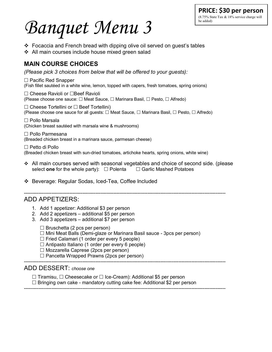#### **PRICE: \$30 per person** (8.75% State Tax & 18% service charge will be added)

# *Banquet Menu 3*

- Focaccia and French bread with dipping olive oil served on guest's tables
- All main courses include house mixed green salad

# **MAIN COURSE CHOICES**

*(Please pick 3 choices from below that will be offered to your guests):* 

 $\Box$  Pacific Red Snapper (Fish fillet sautéed in a white wine, lemon, topped with capers, fresh tomatoes, spring onions)

□ Cheese Ravioli or □Beef Ravioli (Please choose one sauce:  $\Box$  Meat Sauce,  $\Box$  Marinara Basil,  $\Box$  Pesto,  $\Box$  Alfredo)

 $\Box$  Cheese Tortellini or  $\Box$  Beef Tortellini) (Please choose one sauce for all guests:  $\Box$  Meat Sauce,  $\Box$  Marinara Basil,  $\Box$  Pesto,  $\Box$  Alfredo)

 Pollo Marsala (Chicken breast sautéed with marsala wine & mushrooms)

 Pollo Parmesana (Breaded chicken breast in a marinara sauce, parmesan cheese)

 $\Box$  Petto di Pollo (Breaded chicken breast with sun-dried tomatoes, artichoke hearts, spring onions, white wine)

 All main courses served with seasonal vegetables and choice of second side. (please select **one** for the whole party):  $\Box$  Polenta  $\Box$  Garlic Mashed Potatoes

Beverage: Regular Sodas, Iced-Tea, Coffee Included

----------------------------------------------------------------------------------------------------------------------------

## ADD APPETIZERS:

- 1. Add 1 appetizer: Additional \$3 per person
- 2. Add 2 appetizers additional \$5 per person
- 3. Add 3 appetizers additional \$7 per person

 $\square$  Bruschetta (2 pcs per person)

 $\Box$  Mini Meat Balls (Demi-glaze or Marinara Basil sauce - 3pcs per person)

 $\Box$  Fried Calamari (1 order per every 5 people)

 $\Box$  Antipasto Italiano (1 order per every 6 people)

 $\Box$  Mozzarella Caprese (2pcs per person)

 $\Box$  Pancetta Wrapped Prawns (2pcs per person)

## ADD DESSERT: *choose one*

 $\Box$  Tiramisu,  $\Box$  Cheesecake or  $\Box$  Ice-Cream): Additional \$5 per person

 $\Box$  Bringing own cake - mandatory cutting cake fee: Additional \$2 per person

----------------------------------------------------------------------------------------------------------------------------

----------------------------------------------------------------------------------------------------------------------------